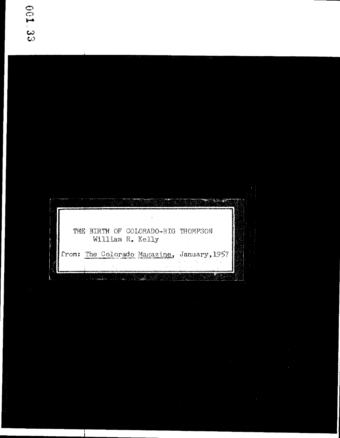$\begin{picture}(20,20) \put(0,0){\vector(1,0){10}} \put(10,0){\vector(1,0){10}} \put(10,0){\vector(1,0){10}} \put(10,0){\vector(1,0){10}} \put(10,0){\vector(1,0){10}} \put(10,0){\vector(1,0){10}} \put(10,0){\vector(1,0){10}} \put(10,0){\vector(1,0){10}} \put(10,0){\vector(1,0){10}} \put(10,0){\vector(1,0){10}} \put(10,0){\vector(1,0){10}} \put(10,0){\vector(1$ ्री THE BIRTH OF COLORADO-BIG THOMPSON William R. Kelly from: The Colorado Magazine, January, 1957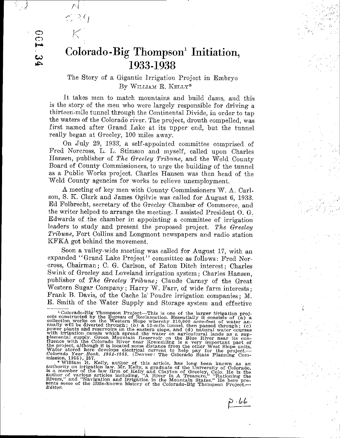o  $\mathbb{C}$  $\boldsymbol{\omega}$  . 1ol::>o

1' <sup>1</sup>

 $\mathfrak{l}^{\prime}$  .

 $\supseteq C_1$ 

## Colorado-Big Thompson! Initiation, 1933-1938

## The Story of a Gigantic Irrigation Project in Embryo By WILLIAM R. KELLY\*

It takes men to match mountains and build dams, and this is the story. of the men who were largely responsible for driving <sup>a</sup> thirteen-mile tunnel through the Continental Divide, in order to tap the waters of the Colorado river. The project, drouth compelled, was first named after Grand Lake at its upper end, but the tunnel really began at Greeley, 100 miles away.

On July 29, 1933', <sup>a</sup> self-appointed committee comprised of Fred Norcross, L. L. Stimson and myself, called upon Charles Hansen, publisher of The Greeley Tribune, and the Weld County Board of County Commissioners, to urge the building of the tunnel as a Public Works project. Charles Hansen was then head of the Weld County agencies for works to relieve unemployment,

A meeting of key men with County Commissioners W. A. Carlson, S. K. Clark and James Ogilvie was called for August 6, 1933. Ed Folbrecht, secretary of the Greeley Chamber of Commerce, and the writer helped to arrange the meeting. I assisted President O. G. Edwards of the chamber in appointing <sup>a</sup> committee of irrigation leaders to study and present the proposed project. The Greeley Tribune, Fort Collins and Longmont newspapers and radio station KFKA got behind the movement.

Soon <sup>a</sup> valley-wide meeting was called for August 17, with an expanded "Grand Lake Project" committee as follows: Fred Norcross, Chairman; C. G. Carlson, of Eaton Ditch interest; Charles Swink of Greeley and Loveland irrigation system; Charles Hansen, publisher of The Greeley Tribune; Claude Carney of the Great Western Sugar Company; Harry W. Farr, of wide farm interests; Prank B. Davis, of the Cache la' Poudre irrigation companies; M. E. Smith of the Water Supply and Storage system and effective

Water stored here develops electrical current to help pay for the project.<br>Colorado Year: Book. 1951-1955. (Denver: The Colorado State Planning Commission, 1955), 257.<br>mission, 1955), 257.<br>\* William R. Kelly, author of thi

 $P.66$ 

<sup>&</sup>lt;sup>2</sup> Colorado-Big Thompson Project—This is one of the larger irrigation projects constructed by the Bureau of Reclamation. Essentially it consists of (a) a collection works on the Western Slope whereby 310,000 acre-feet of fluence with the Colorado River near Kremmling is a very important part of<br>the project, although it is located some distance from the other West Slope units.<br>Water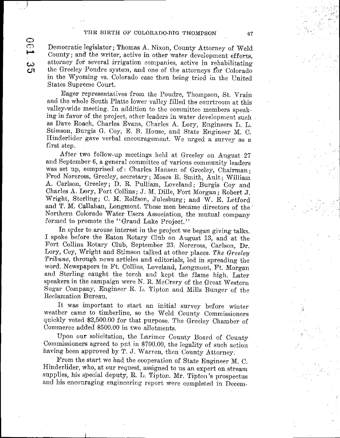## THE BIRTH OF COLORADO-BIG THOMPSON 67

 $\overline{C}$  $\bigcirc$ 

 $\bm{\omega}$ CJ1

Democratic legislator; Thomas A. Nixon, County Attorney of Weld County; and the writer, active in other water development efforts, attorney for several irrigation companies, active in rehabilitating the Greeley Poudre system, and one of the attorneys for Colorado in the Wyoming vs. Colorado case then being tried in the United States Supreme Court.

Eager representatives from the Poudre, Thompson, St. Vrain and the whole South Platte lower valley filled the courtroom at this valley-wide meeting. In addition to the committee members speaking in favor of the project, other leaders in water development such as Dave Roach, Charles Evans, Charles A. Lory, Engineers L. L. Stimson, Burgis G. Coy, E. B. House, and State Engineer M. C. Hinderlider gave verbal encouragement. We urged a survey as a first step.

After two follow-up meetings held at Greeley on August <sup>27</sup> and September 6, <sup>a</sup> general committee of various community leaders was set up, comprised of: Charles Hansen of Greeley, Chairman; Fred Norcross, Greeley, secretary; Moses E. Smith, Ault; William A. Carlson, Greeley; D. R. Pulliam, Loveland; Burgis Coy and Charles A. Lory, Fort Collins; J. M. Dille, Port Morgan; Robert J. Wright, Sterling; C. M. Rolfson, Julesburg; and W. E. Letford and T. M. Callahan, Longmont. These men became directors of the' Northern Colorado Water Users Association, the mutual company formed to promote the "Grand Lake Project."

In order to arouse interest in the project we began giving talks. I spoke before the Eaton Rotary Club on August 13, and at the Fort Collins Rotary Club, September 23. Norcross, Carlson, Dr. Lory, Coy, Wright and Stimson talked at other places. The Greeley Tribune, through news articles and editorials, led in spreading the word. Newspapers in Ft. Collins, Loveland, Longmont, Ft. Morgan and Sterling caught the torch and kept the flame high. Later speakers in the campaign were N. R. McCrery of the Great 'Western Sugar Company, Engineer R. L. Tipton and Mills Bunger of the Heclamation Bureau.

It was important to start an initial survey before winter weather came to timberline, so the Weld County Commissioners quickly voted \$2,500.00 for that purpose. The Greeley Chamber of Commerce added \$500.00 in two allotments.

Upon our solicitation, the Larimer County Board of County Commissioners agreed to put in \$700.00, the legality of such action having been approved by T. J. Warren, then County Attorney.

From the start we had the cooperation of State Engineer M. C. Hinderlider, who, at our request, assigned to us an expert on stream supplies, his special deputy, R. L. Tipton. Mr. Tipton's prospectus and his encouraging engineering report were completed in Decemt;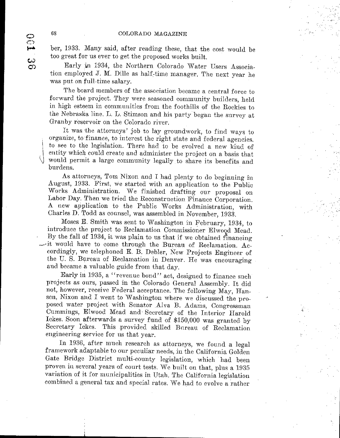ber, 1933. Many said, after reading these, that the cost would be too great for us ever to get the proposed works built.

Early in 1934, the Northern Colorado \ Vater Users Association employed J. M. Dille as half-time manager. The next year he was put on full-time salary.

The board members of the association became a central force to forward the project. They were seasoned community builders, held in high esteem in communities from the foothills of the Rockies to the Nebraska line. L. L. Stimson and his party began the survey at Granby reservoir on the Colorado river.

It was the attorneys' job to lay groundwork, to find ways to organize, to finance, to interest the right state and federal agencies. to see to the legislation. There had to be evolved a new kind of entity which could create and administer the project on a basis that would permit <sup>a</sup> large community legally to share its benefits and burdens.

As attorneys, Tom Nixon and I had plenty to do beginning in August, 1933. First, we started with an application to the Public Works Administration. We finished drafting our proposal on Labor Day. Then we tried the Reconstruction Finance Corporation. A new application to the Public Works Administration, with Charles D. Todd as counsel, was assembled in November, 1933.

Moses E. Smith was sent to Washington in February, 1934, to introduce the project to Reclamation Commissioner Elwood Mead. By the fall of 1934, it was plain to us that if we obtained financing it would have to come through the Bureau of Reclamation. Accordingly, we telephoned E. B. Debler, New Projects Engineer of the U. S. Bureau of Reclamation in Denver. He was encouragingand became <sup>a</sup> valuable guide from that day.

Early in 1935, a "revenue bond" act, designed to finance such projects as ours, passed in the Colorado General Assembly. It did not, however, receive Federal acceptance. The following May, Hansen, Nixon and I went to Washington where we discussed the proposed water project with Senator .Alva B. Adams, Congressman Cummings, Elwood Mead and. Secretary of the Interior Harold Ickes. Soon afterwards a survey fund of \$150,000 was granted by Secretary Ickes. This provided skilled Bureau of Reclamation engineering service for us that year.

Tn 1936, after much research as attorneys, we found <sup>a</sup> legal framework adaptable to our peculiar needs, in the California Golden Gate Bridge District multi-county legislation, which had been proven in several years of court tests. We built on that, plus <sup>a</sup> <sup>1935</sup> variation of it for municipalities in Utah. The California legislation combined <sup>a</sup> general tax and special rates. We had to evolve <sup>a</sup> rather

 $\bigg\}$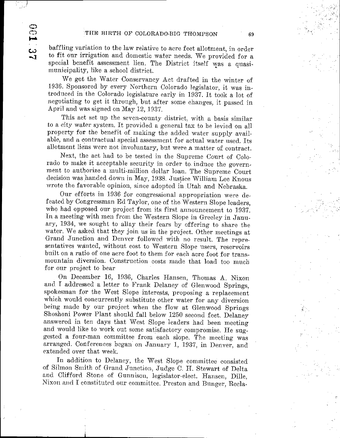baffling variation to the law relative to acre feet allotment, in order to fit our irrigation and domestic water needs. We provided for <sup>a</sup> special benefit assessment lien. The District itself was <sup>a</sup> quasimunicipality, like a school district.

We got the Water Conservancy Act drafted in the winter of 1936. Sponsored by every Northern Colorado legislator, it was introduced in the Colorado legislature early in 1937. It took <sup>a</sup> lot of negotiating to get it through, but after some changes, it passed in April and was signed on May 12, 1937.

This act set up the seven-county district, with a basis similar to <sup>a</sup> city water system. It provided <sup>a</sup> general tax to be levied on all property for the benefit of making the added water supply available, and a contractual special assessment for actual water used. Its allotment liens were not involuntary, but were a matter of contract.

Next, the act had to be tested in the Supreme Court of Colorado to make it acceptable security in order to induce the government to authorize <sup>a</sup> multi-million dollar loan. The Supreme Court decision was handed down in May, 1938. Justice William Lee Knous wrote the favorable opinion, since adopted in Utah and Nebraska.

Our efforts in <sup>1936</sup> for congressional appropriation were defeatcd by Congressman Ed Taylor, one of the Western Slope leaders, who had opposed our project from its first announcement to 1937. In <sup>a</sup> meeting with men from the Western Slope in Greeley in January, 1934, we sought to allay their fears by offering to share the water. We asked that they join us in the project. Other meetings at Grand Junction and Denver followed with no result. The representatives wanted, without cost to Western Slope users, reservoirs built on <sup>a</sup> ratio of one acre foot to them for each acre foot for transmountain diversion. Construction costs made that load too much for our project to bear

On December 16, 1936, Charles Hansen, Thomas A. Nixon and I addressed <sup>a</sup> letter to Frank Delaney of Glenwood Springs, spokesman for the West Slope interests, proposing a replacement which would concurrently substitute other water for any diversion being made by our project when the flow at Glenwood Springs Shoshoni Power Plant should fall below <sup>1250</sup> second feet. Delaney answered in ten days that West Slope leaders had been meeting and would like to work out some satisfactory compromise. He suggested <sup>a</sup> four-man committee from each slope. The meeting was arranged. Conferences began on January 1, 1937, in Denver, and extended over that week.

In addition to Delancy, the West Slope committee consisted of Silmon Smith of Grand Junction, Judge C. H. Stewart of Delta and Clifford Stone of Gunnison, legislator-elect. Hansen, Dille, Nixon and I constituted our committee. Preston and Bunger, Recla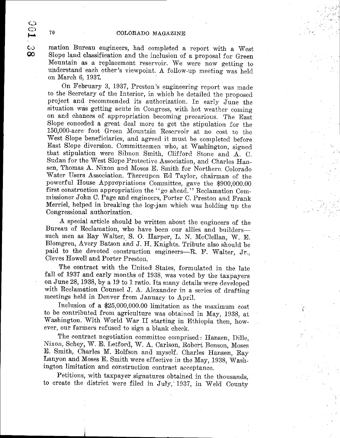$\frac{C}{2}$  mation Bureau engineers, had completed a report with a West<br> $\frac{C}{2}$  Slope land classification and the inclusion of a proposal for Green Slope land classification and the inclusion of a proposal for Green Mountain as <sup>a</sup> replacement reservoir. We were now getting to understand each other's viewpoint. A follow-up meeting was held on March 6, 1937.

On February 3, 1937, Preston's engineering report was made to the Secretary of the Interior, in which he detailed the proposed project and recommended its authorization. In early June the situation was getting acute in Congress, with hot weather coming on and chances of appropriation becoming precarious. The East Slope conceded <sup>a</sup> great deal more to get the stipulation for the 150,000-acre foot Green Mountain Reservoir at no cost to the West Slope beneficiaries, and agreed it must be completed before East Slope diversion. Committeemen who, at Washington, signed that stipulation were Silmon Smith, Clifford Stone and A. C. Sudan for the West Slope Protective Association, and Charles Hansen, Thomas A. Nixon and Moses E. Smith for Northern Colorado Water Users Association. Thereupon Ed Taylor, chairman of the powerful House Appropriations Committee, gave the \$900,000.00 first construction appropriation the" go ahead." Reclamation Commissioner John C. Page and engineers, Porter C. Preston and Frank Merriel, helped in breaking the log-jam which was holding up the Congressional authorization.

A special article should be written about the engineers of the Bureau of Reclamation, who have been our allies and builderssuch men as Ray Walter, S. O. Harper, L. N. McClellan, W. E. Blomgren, Avery Batson and J. H. Knights. Tribute also should be paid to the devoted construction engineers-R. F. Walter, Jr., Cleves Howell and Porter Preston.

The contract with the United States, formulated in the late fall of <sup>1937</sup> and early months of 1938, was voted by the taxpayers on June 28, 1938, by <sup>a</sup> <sup>19</sup> to <sup>1</sup> ratio. Its many details were developed with Reclamation Counsel J. A. Alexander in <sup>a</sup> series of drafting meetings held in Denver from January to April.

Inclusion of a  $$25,000,000.00$  limitation as the maximum cost to be contributed from agriculture was obtained in May, 1938, at Washington. With World War II starting in Ethiopia then, however, our farmers refused to sign <sup>a</sup> blank check.

The contract negotiation committee comprised: Hansen, Dille, Nixon, Schey, W. E. Letford, W. A. Carlson, Robert Benson, Moses E. Smith, Charles M. Rolfson and myself. Charles Hansen, Ray Lanyon and Moses E. Smith were effective in the May, 1938, Washington limitation and construction contract acceptance.

Petitions, with taxpayer signatures obtained in the thousands, to create the district were filed in July, 1937, in Weld County

رب<br>مسم

ယ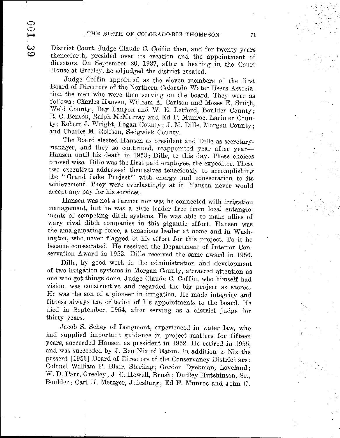$\mathbb{C}$  $\subset$ 

ده  $\bullet$  District Court. Judge Claude C. Coffin then, and for twenty years thenceforth, presided over its creation and the appointment of directors. On September 20, 1937, after <sup>a</sup> hearing in the Court House at Greeley, he adjudged the district created.

J'udge Coffin appointed as the eleven members of the first Board of Directors of the Northern Colorado Water Users Association the men who were then serving on the board. They were as follows: Charles Hansen, William A. Carlson and Moses E. Smith, Weld County; Ray Lanyon and W. E. Letford, Boulder County; R. C. Benson, Ralph McMurray and Ed F. Munroe, Larimer County; Robert J. Wright, Logan County; J. M. Dille, Morgan County; and Charles M. Rolfson, Sedgwick County.

The Board elected Hansen as president and Dille as secretarymanager, and they so continued, reappointed year after year-Hansen until his death in 1953; Dille, to this day. These choices proved wise. Dille was the first paid employee, the expediter. These two executives addressed themselves tenaciously to accomplishing the "Grand Lake Project" with energy and consecration to its achievement. They were everlastingly at it. Hansen never would accept any pay for his services.

Hansen was not <sup>a</sup> farmer nor was he connected with irrigation management, but he was <sup>a</sup> civic leader free from local entanglements of competing ditch systems. He was able to make allies of wary rival ditch companies in this gigantic effort. Hansen was the amalgamating force, <sup>a</sup> tenacious leader at home and in Washington, who never flagged in his effort for this project. To it he became consecrated. He received the Department of Interior Conservation Award in 1952. Dille received the same award in 1956.

Dille, by good work in the administration and development of two irrigation systems in Morgan County, attracted attention as one who got things done. Judge Claude C. Coffin, who himself had vision, was constructive and regarded the big project as sacred. He was the son of <sup>a</sup> pioneer in irrigation. He made integrity and fitness always the criterion of his appointments to the board, He died in September, 1954, after serving as <sup>a</sup> district judge for thirty years.

Jacob S. Schey of Longmont, experienced in water law, who had supplied important guidance in project matters for fifteen years, succeeded Hansen as president in 1952. He retired in 1955, and was succeeded by J. Ben Nix of Eaton. In addition to Nix the present [1956] Board of Directors of the Conservancy District are: Colonel William P. Blair, Sterling; Gordon Dyekman, Loveland; W. D. Farr, Greeley; J. C. Howell, Brush; Dudley Hutchinson, Sr., Boulder; Carl H. Metzger, Julesburg; Ed F. Munroe and John G.

i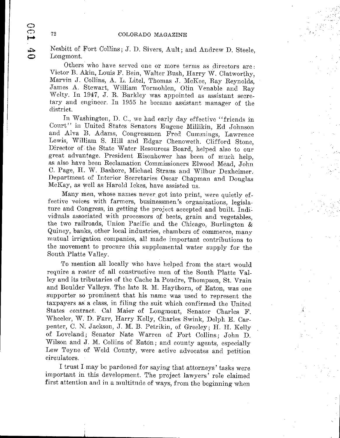Nesbitt of Fort Collins; J. D. Sivers, Ault; and Andrew D. Steele, Longmont.

Others who have served one or more terms as directors are: Victor B. Akin, Louis F. Bein, Walter Bush, Harry W. Clatworthy, Marvin J. Collins, A. L. Litel, Thomas J. McKee, Ray Reynolds, James A. Stewart, William Tormohlen, Olin Venable and Ray Welty. In 1947, J. R. Barkley was appointed as assistant secretary and engineer. In <sup>1955</sup> he became assistant manager of the district.

In Washington, D. C., we had early day effective "friends in Court" in United States Senators Eugene Millikin, Ed Johnson and Alva B. Adams, Congressmen Fred Cummings, Lawrence Lewis, William S. Hill and Edgar Chenoweth. Clifford Stone, Director of the State Water Resources Board, helped also to our great advantage. President Eisenhower has been of much help, as also have been Reclamation Commissioners Elwood Mead, John C. Page, H. W. Bashore, Michael Straus and Wilbur Dexheimer. Department of Interior Secretaries Oscar Chapman and Douglas McKay, as well as Harold Ickes, have assisted us.

Many men, whose names never got into print, were quietly effective voices with farmers, businessmen's organizations, legislature and Congress, in getting the project accepted and built. Individuals associated with processors of beets, grain and vegetables, the two railroads, Union Pacific and the Chicago, Burlington & Quincy, banks, other local industries, chambers of commerce, many mutual irrigation companies, all made important contributions to the movement to procure this supplemental water supply for the South Platte Valley.

To mention all locally who have helped from the start would require a roster of all constructive men of the South Platte Valley and its tributaries of the Cache la Poudre, Thompson, St. Vrain and Boulder Valleys. The late R. M. Haythorn, of Eaton, was one supporter so prominent that his name was used to represent the taxpayers as <sup>a</sup> class, in filing the suit which confirmed the United States contract. Cal Maier of Longmont, Senator Charles F. Wheeler, W. D. Farr, Harry Kelly, Charles Swink, Delph E. Carpenter, C. N. Jackson, J. M. B. Petrikin, of Greeley; H. H. Kelly of Loveland; Senator Nate Warren of Fort Collins; John D. Wilson and J. M. Collins of Eaton; and county agents, especially Lew Toyne of Weld County, were active advocates and petition circulators.

I trust I may be pardoned for saying that attorneys' tasks were important in this development. The project lawyers' role claimed first attention and in <sup>a</sup> multitude of ways, from the beginning when

 $\Theta$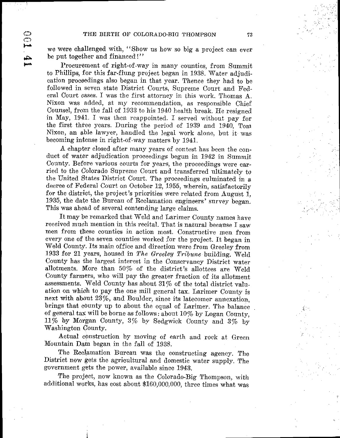we were challenged with, " Show us how so big <sup>a</sup> project can ever be put together and financed!"

 $\widetilde{\mathbb{C}}$ 

£

Procurement of right-of-way in many counties, from Summit to Phillips, for this far-flung project began in 1938. Water adjudication proceedings also began in that year. Thence they had to be followed in seven state District Courts, Supreme Court and Federal Court cases. I was the first attorney in this work. Thomas A. Nixon was added, at my recommendation, as responsible Chief Counsel, from the fall of <sup>1933</sup> to his <sup>1940</sup> health break. He resigned in May, 1941. I was then reappointed. I served without pay for the first three years. During the period of 1939 and 1940, Tom Nixon, an able lawyer, handled the legal work alone, but it was becoming intense in right-of-way matters by 1941.

A chapter closed after many years of contest has been the conduct of water adjudication proceedings begun in <sup>1942</sup> in Summit County. Before various courts for years, the proceedings were carried to the Oolorado Supreme Court and transferred ultimately to the United States District Court. The proceedings culminated in <sup>a</sup> decree of Federal Court on October 12, 1955, wherein, satisfactorily for the district, the project's priorities were related from August 1. 1935, the date the Bureau of Reclamation engineers' survey began, This was ahead of several contending- large claims.

It may be remarked that Weld and Larimer County names have received much mention in this recital. That is natural because I saw men from these counties in action most. Constructive men from every one of the seven counties worked for the project. It began in Weld County. Its main office and direction were from Greeley from 1933 for 21 years, housed in The Greeley Tribune building. Weld County has the largest interest in the Oonservancy District water allotments. More than  $50\%$  of the district's allottees are Weld County farmers, who will pay the greater fraction of its allotment assessments. Weld County has about 31 % of the total district valuation on which to pay the one mill general tax. Larimer County is next with about 23%, and Boulder, since its latecomer annexation, brings that county up to about the equal of Larimer. The balance of general tax will be borne as follows: about 10% by Logan Connty, 11% by Morgan County, 3% by Sedgwick Connty and 3% by Washington Connty.

Actual construction by moving of earth and rock at Green Mountain Dam began in the fall of 1938.

The Reclamation Bureau was the constructing agency. The District now gets the agricultural and domestic water supply. The government gets the power, available since 1943.

The project, now known as the Colorado-Big Thompson, with additional works, has cost about \$160,000,000, three times what was